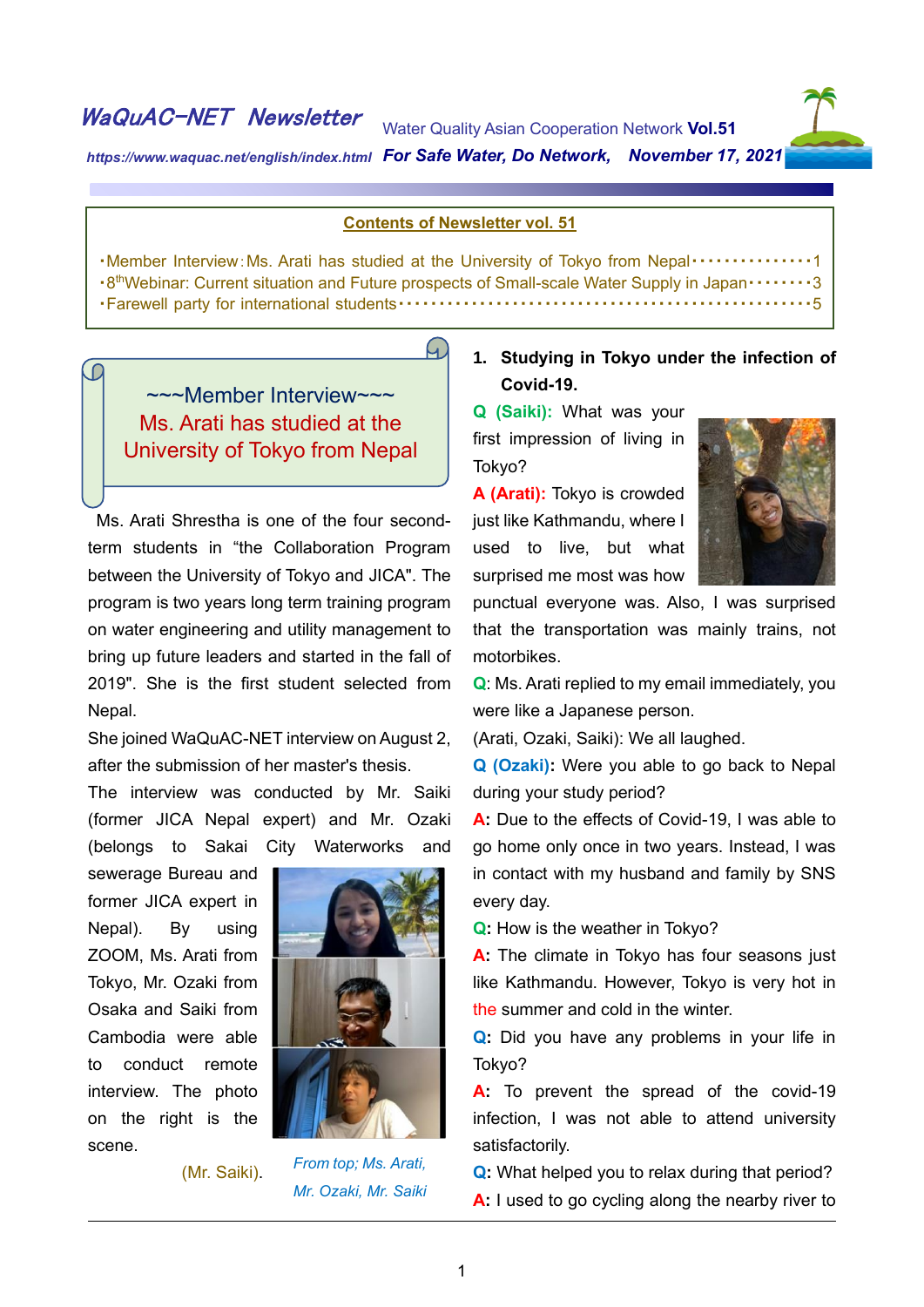# WaQuAC-NET Newsletter

C

Water Quality Asian Cooperation Network **Vol.51**



html

*https://www.waquac.net/english/index.html For Safe Water, Do Network, November 17, 2021*

#### **Contents of Newsletter vol. 51**

・Member Interview:Ms. Arati has studied at the University of Tokyo from Nepal・・・・・・・・・・・・・・・1 ・8 thWebinar: Current situation and Future prospects of Small-scale Water Supply in Japan・・・・・・・・3 ・Farewell party for international students・・・・・・・・・・・・・・・・・・・・・・・・・・・・・・・・・・・・・・・・・・・・・・・・・・・5

## $\left( \mathcal{A}\right)$

~~~Member Interview~~~ Ms. Arati has studied at the University of Tokyo from Nepal

Ms. Arati Shrestha is one of the four secondterm students in "the Collaboration Program between the University of Tokyo and JICA". The program is two years long term training program on water engineering and utility management to bring up future leaders and started in the fall of 2019". She is the first student selected from Nepal.

She joined WaQuAC-NET interview on August 2, after the submission of her master's thesis.

The interview was conducted by Mr. Saiki (former JICA Nepal expert) and Mr. Ozaki (belongs to Sakai City Waterworks and

sewerage Bureau and former JICA expert in Nepal). By using ZOOM, Ms. Arati from Tokyo, Mr. Ozaki from Osaka and Saiki from Cambodia were able to conduct remote interview. The photo on the right is the scene.



(Mr. Saiki).

### *From top; Ms. Arati, Mr. Ozaki, Mr. Saiki*

### **1. Studying in Tokyo under the infection of Covid-19.**

**Q (Saiki):** What was your first impression of living in Tokyo?

**A (Arati):** Tokyo is crowded just like Kathmandu, where I used to live, but what surprised me most was how



punctual everyone was. Also, I was surprised that the transportation was mainly trains, not motorbikes.

**Q**: Ms. Arati replied to my email immediately, you were like a Japanese person.

(Arati, Ozaki, Saiki): We all laughed.

**Q (Ozaki):** Were you able to go back to Nepal during your study period?

A: Due to the effects of Covid-19, I was able to go home only once in two years. Instead, I was in contact with my husband and family by SNS every day.

**Q:** How is the weather in Tokyo?

**A:** The climate in Tokyo has four seasons just like Kathmandu. However, Tokyo is very hot in the summer and cold in the winter.

**Q:** Did you have any problems in your life in Tokyo?

A: To prevent the spread of the covid-19 infection, I was not able to attend university satisfactorily.

**Q:** What helped you to relax during that period? **A:** I used to go cycling along the nearby river to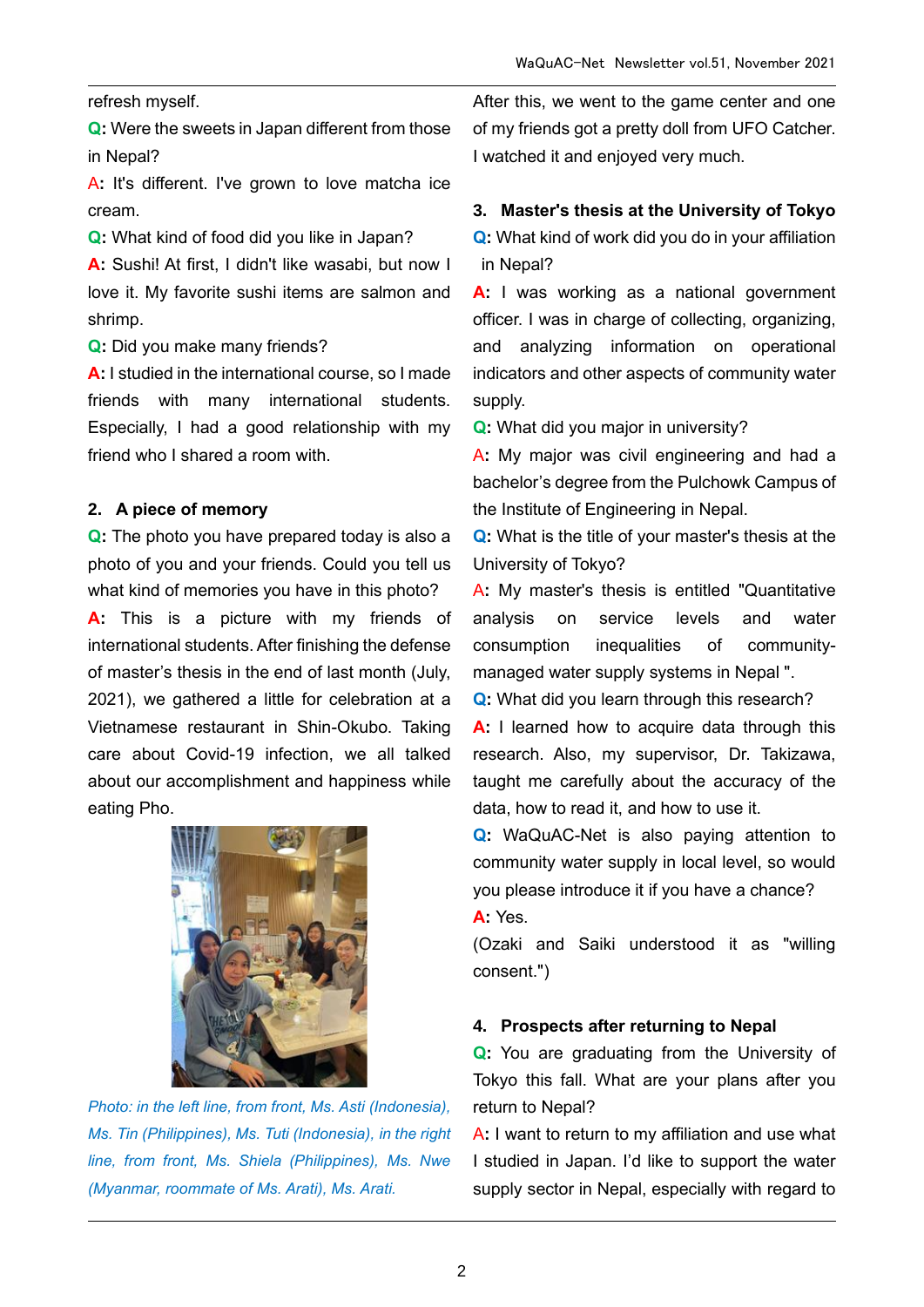refresh myself.

**Q:** Were the sweets in Japan different from those in Nepal?

A**:** It's different. I've grown to love matcha ice cream.

**Q:** What kind of food did you like in Japan?

**A:** Sushi! At first, I didn't like wasabi, but now I love it. My favorite sushi items are salmon and shrimp.

**Q:** Did you make many friends?

**A:** I studied in the international course, so I made friends with many international students. Especially, I had a good relationship with my friend who I shared a room with.

#### **2. A piece of memory**

**Q:** The photo you have prepared today is also a photo of you and your friends. Could you tell us what kind of memories you have in this photo?

**A:** This is a picture with my friends of international students. After finishing the defense of master's thesis in the end of last month (July, 2021), we gathered a little for celebration at a Vietnamese restaurant in Shin-Okubo. Taking care about Covid-19 infection, we all talked about our accomplishment and happiness while eating Pho.



*Photo: in the left line, from front, Ms. Asti (Indonesia), Ms. Tin (Philippines), Ms. Tuti (Indonesia), in the right line, from front, Ms. Shiela (Philippines), Ms. Nwe (Myanmar, roommate of Ms. Arati), Ms. Arati.*

After this, we went to the game center and one of my friends got a pretty doll from UFO Catcher. I watched it and enjoyed very much.

#### **3. Master's thesis at the University of Tokyo**

**Q:** What kind of work did you do in your affiliation in Nepal?

**A:** I was working as a national government officer. I was in charge of collecting, organizing, and analyzing information on operational indicators and other aspects of community water supply.

**Q:** What did you major in university?

A**:** My major was civil engineering and had a bachelor's degree from the Pulchowk Campus of the Institute of Engineering in Nepal.

**Q:** What is the title of your master's thesis at the University of Tokyo?

A**:** My master's thesis is entitled "Quantitative analysis on service levels and water consumption inequalities of communitymanaged water supply systems in Nepal ".

**Q:** What did you learn through this research?

**A:** I learned how to acquire data through this research. Also, my supervisor, Dr. Takizawa, taught me carefully about the accuracy of the data, how to read it, and how to use it.

**Q:** WaQuAC-Net is also paying attention to community water supply in local level, so would you please introduce it if you have a chance? **A:** Yes.

(Ozaki and Saiki understood it as "willing consent.")

#### **4. Prospects after returning to Nepal**

**Q:** You are graduating from the University of Tokyo this fall. What are your plans after you return to Nepal?

A**:** I want to return to my affiliation and use what I studied in Japan. I'd like to support the water supply sector in Nepal, especially with regard to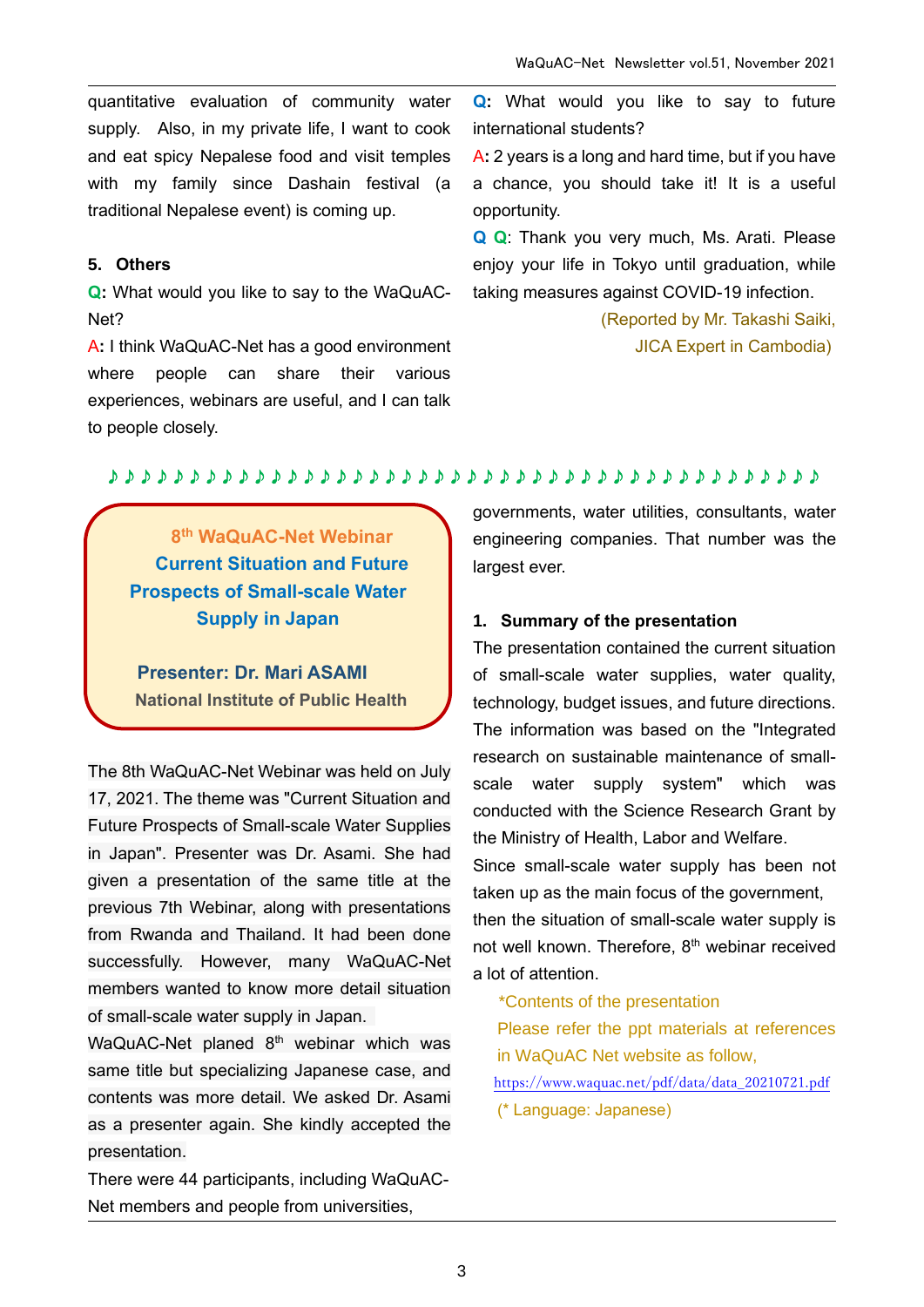quantitative evaluation of community water supply. Also, in my private life, I want to cook and eat spicy Nepalese food and visit temples with my family since Dashain festival (a traditional Nepalese event) is coming up.

#### **5. Others**

**Q:** What would you like to say to the WaQuAC-Net?

A**:** I think WaQuAC-Net has a good environment where people can share their various experiences, webinars are useful, and I can talk to people closely.

**Q:** What would you like to say to future international students?

A**:** 2 years is a long and hard time, but if you have a chance, you should take it! It is a useful opportunity.

**Q Q**: Thank you very much, Ms. Arati. Please enjoy your life in Tokyo until graduation, while taking measures against COVID-19 infection.

> (Reported by Mr. Takashi Saiki, JICA Expert in Cambodia)

#### ♪♪♪♪♪♪♪♪♪♪♪♪♪♪♪♪♪♪♪♪♪♪♪♪♪♪♪♪♪♪♪♪♪♪♪♪♪♪♪♪♪♪♪♪

**8 th WaQuAC-Net Webinar Current Situation and Future Prospects of Small-scale Water Supply in Japan** 

**Presenter: Dr. Mari ASAMI National Institute of Public Health**

The 8th WaQuAC-Net Webinar was held on July 17, 2021. The theme was "Current Situation and Future Prospects of Small-scale Water Supplies in Japan". Presenter was Dr. Asami. She had given a presentation of the same title at the previous 7th Webinar, along with presentations from Rwanda and Thailand. It had been done successfully. However, many WaQuAC-Net members wanted to know more detail situation of small-scale water supply in Japan.

WaQuAC-Net planed 8<sup>th</sup> webinar which was same title but specializing Japanese case, and contents was more detail. We asked Dr. Asami as a presenter again. She kindly accepted the presentation.

There were 44 participants, including WaQuAC-Net members and people from universities,

governments, water utilities, consultants, water engineering companies. That number was the largest ever.

#### **1. Summary of the presentation**

The presentation contained the current situation of small-scale water supplies, water quality, technology, budget issues, and future directions. The information was based on the "Integrated research on sustainable maintenance of smallscale water supply system" which was conducted with the Science Research Grant by the Ministry of Health, Labor and Welfare.

Since small-scale water supply has been not taken up as the main focus of the government,

then the situation of small-scale water supply is not well known. Therefore, 8<sup>th</sup> webinar received a lot of attention.

\*Contents of the presentation

Please refer the ppt materials at references in WaQuAC Net website as follow,

[https://www.waquac.net/pdf/data/data\\_20210721.pdf](https://www.waquac.net/pdf/data/data_20210721.pdf)

(\* Language: Japanese)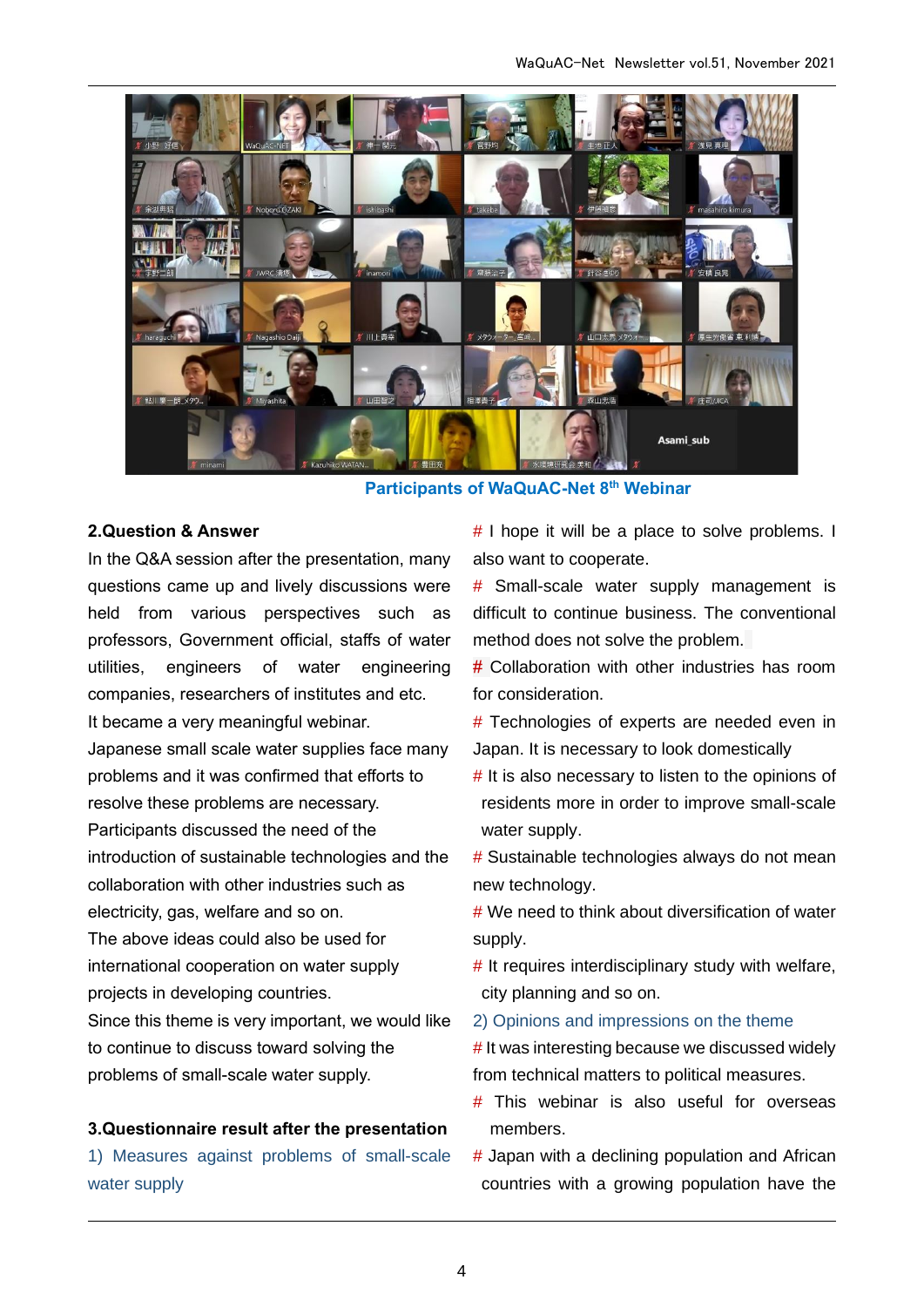

**Participants of WaQuAC-Net 8th Webinar**

#### **2.Question & Answer**

In the Q&A session after the presentation, many questions came up and lively discussions were held from various perspectives such as professors, Government official, staffs of water utilities, engineers of water engineering companies, researchers of institutes and etc. It became a very meaningful webinar. Japanese small scale water supplies face many problems and it was confirmed that efforts to resolve these problems are necessary. Participants discussed the need of the introduction of sustainable technologies and the collaboration with other industries such as electricity, gas, welfare and so on. The above ideas could also be used for international cooperation on water supply projects in developing countries. Since this theme is very important, we would like

to continue to discuss toward solving the problems of small-scale water supply.

#### **3.Questionnaire result after the presentation**

1) Measures against problems of small-scale water supply

# I hope it will be a place to solve problems. I also want to cooperate.

# Small-scale water supply management is difficult to continue business. The conventional method does not solve the problem.

# Collaboration with other industries has room for consideration.

# Technologies of experts are needed even in Japan. It is necessary to look domestically

- # It is also necessary to listen to the opinions of residents more in order to improve small-scale water supply.
- # Sustainable technologies always do not mean new technology.

# We need to think about diversification of water supply.

 $#$  It requires interdisciplinary study with welfare, city planning and so on.

2) Opinions and impressions on the theme

# It was interesting because we discussed widely from technical matters to political measures.

- # This webinar is also useful for overseas members.
- # Japan with a declining population and African countries with a growing population have the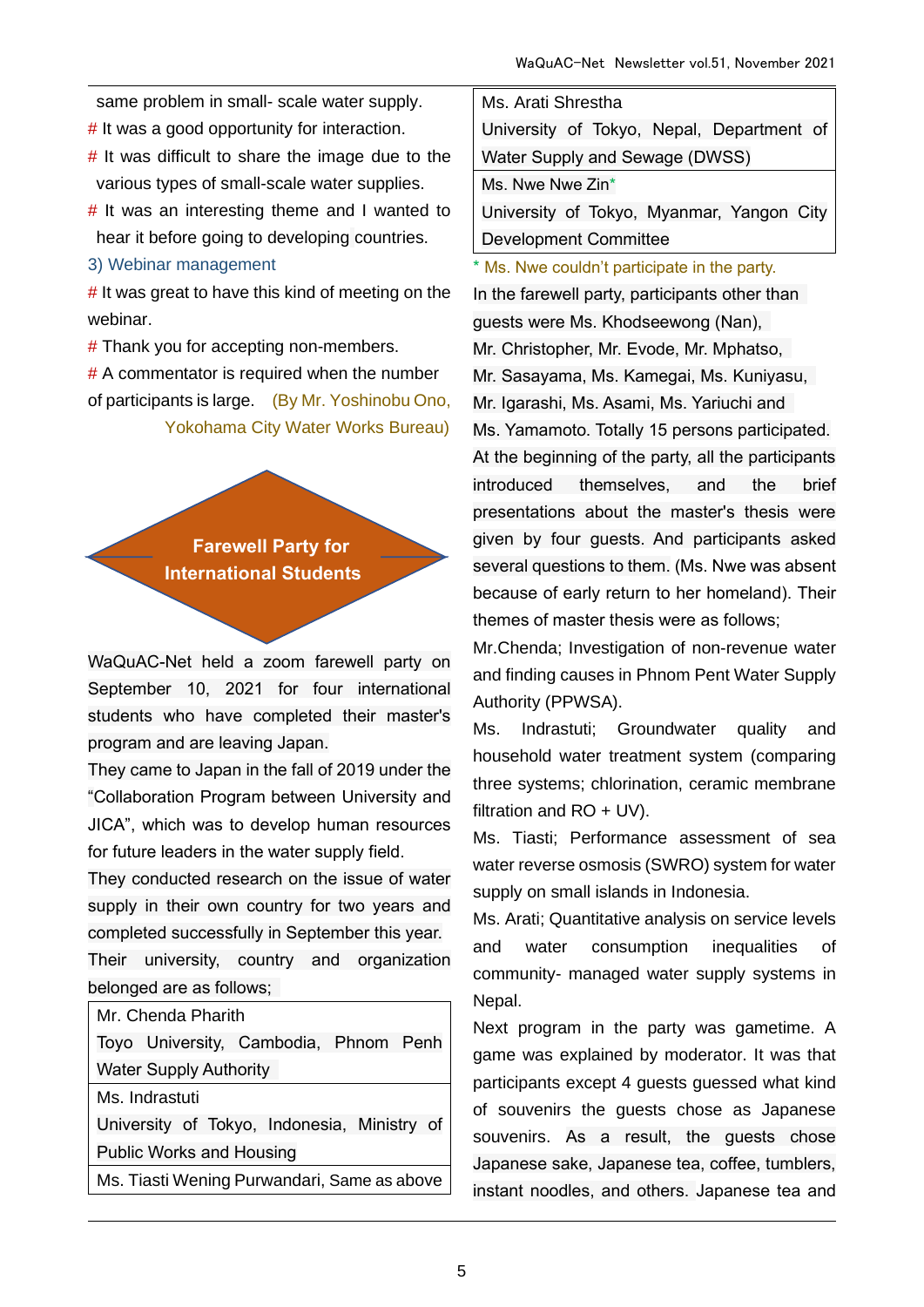same problem in small- scale water supply.

# It was a good opportunity for interaction.

- $#$  It was difficult to share the image due to the various types of small-scale water supplies.
- $#$  It was an interesting theme and I wanted to hear it before going to developing countries.
- 3) Webinar management

 $#$  It was great to have this kind of meeting on the webinar.

# Thank you for accepting non-members.

 $# A$  commentator is required when the number of participants is large. (By Mr. Yoshinobu Ono, Yokohama City Water Works Bureau)

> **Farewell Party for International Students**

WaQuAC-Net held a zoom farewell party on September 10, 2021 for four international students who have completed their master's program and are leaving Japan.

They came to Japan in the fall of 2019 under the "Collaboration Program between University and JICA", which was to develop human resources for future leaders in the water supply field.

They conducted research on the issue of water supply in their own country for two years and completed successfully in September this year.

Their university, country and organization belonged are as follows;

Toyo University, Cambodia, Phnom Penh Water Supply Authority

Ms. Indrastuti

University of Tokyo, Indonesia, Ministry of Public Works and Housing

Ms. Tiasti Wening Purwandari, Same as above

| Ms. Arati Shrestha                        |  |  |  |  |  |  |
|-------------------------------------------|--|--|--|--|--|--|
| University of Tokyo, Nepal, Department of |  |  |  |  |  |  |
| Water Supply and Sewage (DWSS)            |  |  |  |  |  |  |
| Ms. Nwe Nwe Zin*                          |  |  |  |  |  |  |
| University of Tokyo, Myanmar, Yangon City |  |  |  |  |  |  |
| <b>Development Committee</b>              |  |  |  |  |  |  |

\* Ms. Nwe couldn't participate in the party. In the farewell party, participants other than guests were Ms. Khodseewong (Nan), Mr. Christopher, Mr. Evode, Mr. Mphatso, Mr. Sasayama, Ms. Kamegai, Ms. Kuniyasu, Mr. Igarashi, Ms. Asami, Ms. Yariuchi and Ms. Yamamoto. Totally 15 persons participated. At the beginning of the party, all the participants introduced themselves, and the brief presentations about the master's thesis were given by four guests. And participants asked several questions to them. (Ms. Nwe was absent because of early return to her homeland). Their themes of master thesis were as follows;

Mr.Chenda; Investigation of non-revenue water and finding causes in Phnom Pent Water Supply Authority (PPWSA).

Ms. Indrastuti; Groundwater quality and household water treatment system (comparing three systems; chlorination, ceramic membrane filtration and RO + UV).

Ms. Tiasti; Performance assessment of sea water reverse osmosis (SWRO) system for water supply on small islands in Indonesia.

Ms. Arati; Quantitative analysis on service levels and water consumption inequalities of community- managed water supply systems in Nepal.

Next program in the party was gametime. A game was explained by moderator. It was that participants except 4 guests guessed what kind of souvenirs the guests chose as Japanese souvenirs. As a result, the guests chose Japanese sake, Japanese tea, coffee, tumblers, instant noodles, and others. Japanese tea and